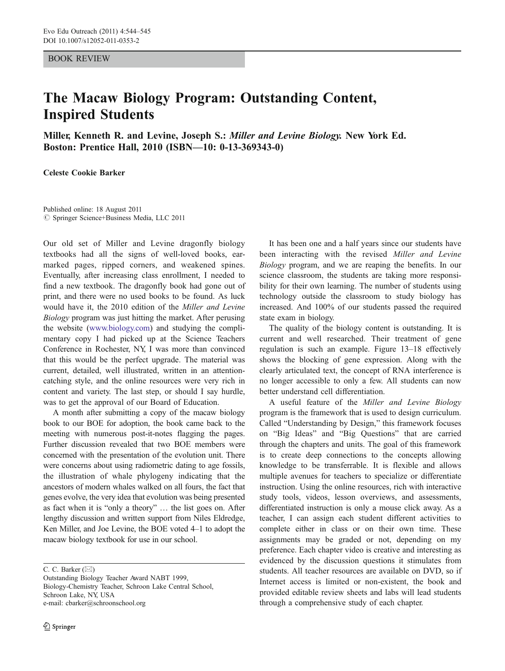BOOK REVIEW

## The Macaw Biology Program: Outstanding Content, Inspired Students

Miller, Kenneth R. and Levine, Joseph S.: Miller and Levine Biology. New York Ed. Boston: Prentice Hall, 2010 (ISBN—10: 0-13-369343-0)

Celeste Cookie Barker

Published online: 18 August 2011  $©$  Springer Science+Business Media, LLC 2011

Our old set of Miller and Levine dragonfly biology textbooks had all the signs of well-loved books, earmarked pages, ripped corners, and weakened spines. Eventually, after increasing class enrollment, I needed to find a new textbook. The dragonfly book had gone out of print, and there were no used books to be found. As luck would have it, the 2010 edition of the Miller and Levine Biology program was just hitting the market. After perusing the website [\(www.biology.com\)](http://www.biology.com) and studying the complimentary copy I had picked up at the Science Teachers Conference in Rochester, NY, I was more than convinced that this would be the perfect upgrade. The material was current, detailed, well illustrated, written in an attentioncatching style, and the online resources were very rich in content and variety. The last step, or should I say hurdle, was to get the approval of our Board of Education.

A month after submitting a copy of the macaw biology book to our BOE for adoption, the book came back to the meeting with numerous post-it-notes flagging the pages. Further discussion revealed that two BOE members were concerned with the presentation of the evolution unit. There were concerns about using radiometric dating to age fossils, the illustration of whale phylogeny indicating that the ancestors of modern whales walked on all fours, the fact that genes evolve, the very idea that evolution was being presented as fact when it is "only a theory" … the list goes on. After lengthy discussion and written support from Niles Eldredge, Ken Miller, and Joe Levine, the BOE voted 4–1 to adopt the macaw biology textbook for use in our school.

C. C. Barker  $(\boxtimes)$ 

Outstanding Biology Teacher Award NABT 1999, Biology-Chemistry Teacher, Schroon Lake Central School, Schroon Lake, NY, USA e-mail: cbarker@schroonschool.org

It has been one and a half years since our students have been interacting with the revised Miller and Levine Biology program, and we are reaping the benefits. In our science classroom, the students are taking more responsibility for their own learning. The number of students using technology outside the classroom to study biology has increased. And 100% of our students passed the required state exam in biology.

The quality of the biology content is outstanding. It is current and well researched. Their treatment of gene regulation is such an example. Figure 13–18 effectively shows the blocking of gene expression. Along with the clearly articulated text, the concept of RNA interference is no longer accessible to only a few. All students can now better understand cell differentiation.

A useful feature of the Miller and Levine Biology program is the framework that is used to design curriculum. Called "Understanding by Design," this framework focuses on "Big Ideas" and "Big Questions" that are carried through the chapters and units. The goal of this framework is to create deep connections to the concepts allowing knowledge to be transferrable. It is flexible and allows multiple avenues for teachers to specialize or differentiate instruction. Using the online resources, rich with interactive study tools, videos, lesson overviews, and assessments, differentiated instruction is only a mouse click away. As a teacher, I can assign each student different activities to complete either in class or on their own time. These assignments may be graded or not, depending on my preference. Each chapter video is creative and interesting as evidenced by the discussion questions it stimulates from students. All teacher resources are available on DVD, so if Internet access is limited or non-existent, the book and provided editable review sheets and labs will lead students through a comprehensive study of each chapter.